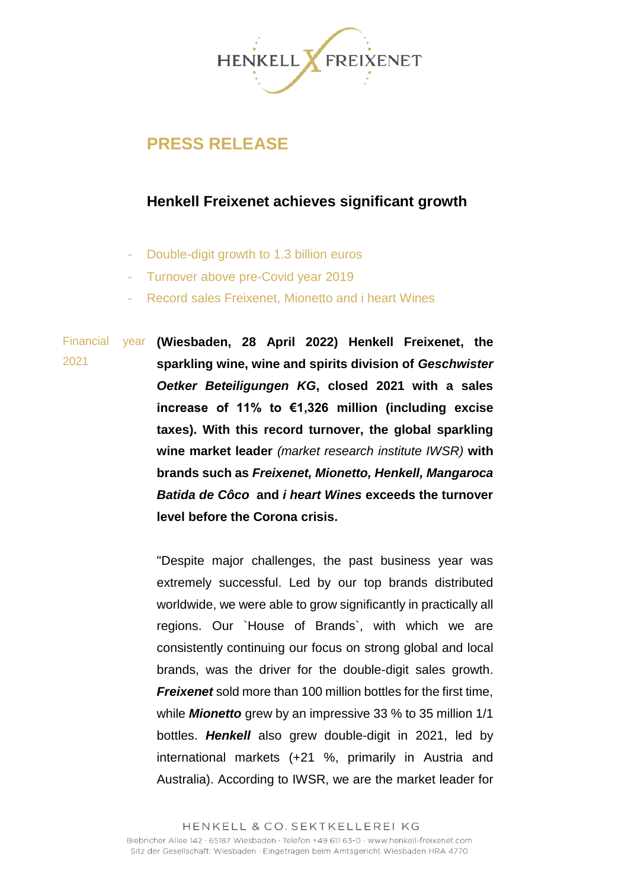

## **PRESS RELEASE**

## **Henkell Freixenet achieves significant growth**

- Double-digit growth to 1.3 billion euros
- Turnover above pre-Covid year 2019
- Record sales Freixenet, Mionetto and i heart Wines

Financial 2021 **(Wiesbaden, 28 April 2022) Henkell Freixenet, the sparkling wine, wine and spirits division of** *Geschwister Oetker Beteiligungen KG***, closed 2021 with a sales increase of 11% to €1,326 million (including excise taxes). With this record turnover, the global sparkling wine market leader** *(market research institute IWSR)* **with brands such as** *Freixenet, Mionetto, Henkell, Mangaroca Batida de Côco* **and** *i heart Wines* **exceeds the turnover level before the Corona crisis.** 

> "Despite major challenges, the past business year was extremely successful. Led by our top brands distributed worldwide, we were able to grow significantly in practically all regions. Our `House of Brands`, with which we are consistently continuing our focus on strong global and local brands, was the driver for the double-digit sales growth. *Freixenet* sold more than 100 million bottles for the first time, while *Mionetto* grew by an impressive 33 % to 35 million 1/1 bottles. *Henkell* also grew double-digit in 2021, led by international markets (+21 %, primarily in Austria and Australia). According to IWSR, we are the market leader for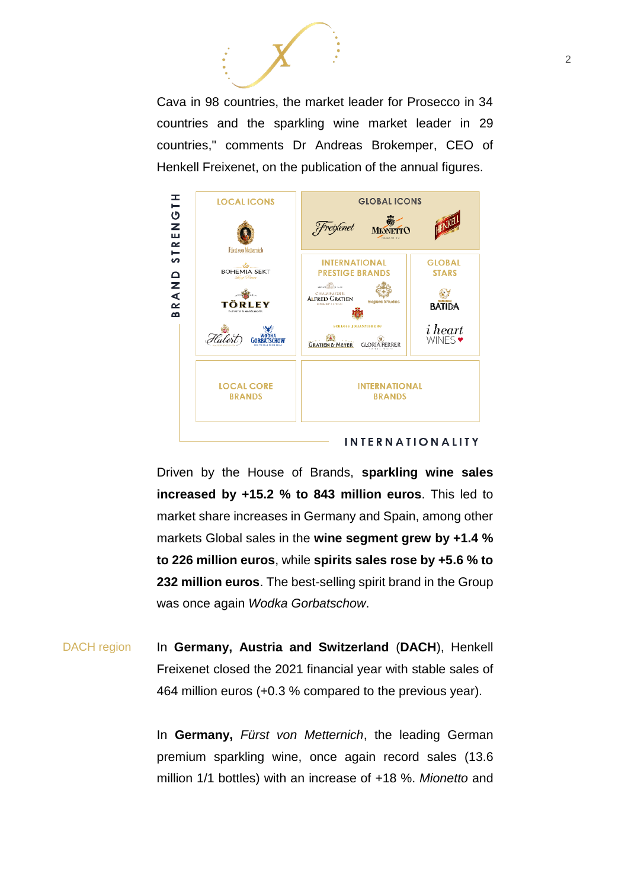Cava in 98 countries, the market leader for Prosecco in 34 countries and the sparkling wine market leader in 29 countries," comments Dr Andreas Brokemper, CEO of Henkell Freixenet, on the publication of the annual figures.



Driven by the House of Brands, **sparkling wine sales increased by +15.2 % to 843 million euros**. This led to market share increases in Germany and Spain, among other markets Global sales in the **wine segment grew by +1.4 % to 226 million euros**, while **spirits sales rose by +5.6 % to 232 million euros**. The best-selling spirit brand in the Group was once again *Wodka Gorbatschow*.

DACH region In **Germany, Austria and Switzerland** (**DACH**), Henkell Freixenet closed the 2021 financial year with stable sales of 464 million euros (+0.3 % compared to the previous year).

> In **Germany,** *Fürst von Metternich*, the leading German premium sparkling wine, once again record sales (13.6 million 1/1 bottles) with an increase of +18 %. *Mionetto* and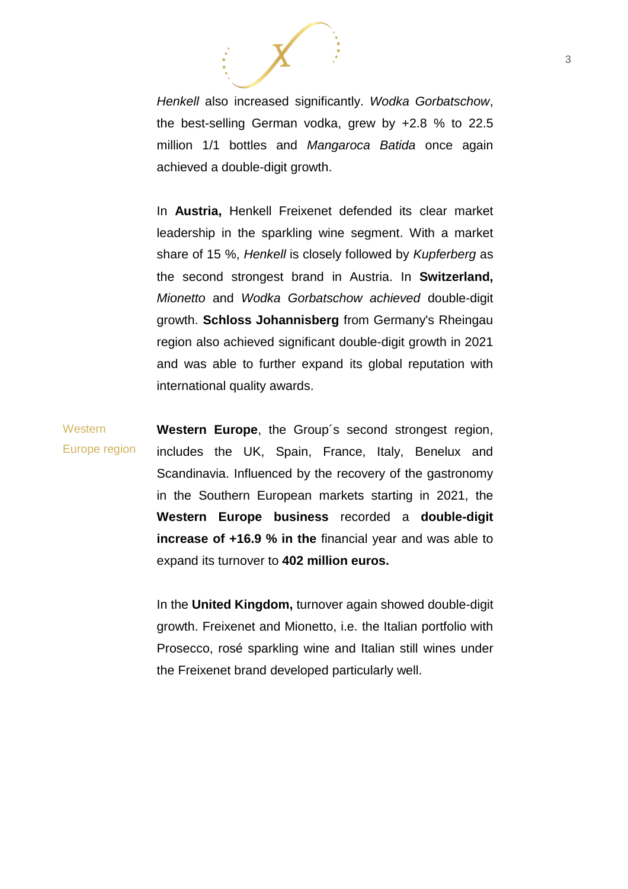

*Henkell* also increased significantly. *Wodka Gorbatschow*, the best-selling German vodka, grew by +2.8 % to 22.5 million 1/1 bottles and *Mangaroca Batida* once again achieved a double-digit growth.

In **Austria,** Henkell Freixenet defended its clear market leadership in the sparkling wine segment. With a market share of 15 %, *Henkell* is closely followed by *Kupferberg* as the second strongest brand in Austria. In **Switzerland,**  *Mionetto* and *Wodka Gorbatschow achieved* double-digit growth. **Schloss Johannisberg** from Germany's Rheingau region also achieved significant double-digit growth in 2021 and was able to further expand its global reputation with international quality awards.

**Western** Europe region **Western Europe**, the Group´s second strongest region, includes the UK, Spain, France, Italy, Benelux and Scandinavia. Influenced by the recovery of the gastronomy in the Southern European markets starting in 2021, the **Western Europe business** recorded a **double-digit increase of +16.9 % in the** financial year and was able to expand its turnover to **402 million euros.** 

> In the **United Kingdom,** turnover again showed double-digit growth. Freixenet and Mionetto, i.e. the Italian portfolio with Prosecco, rosé sparkling wine and Italian still wines under the Freixenet brand developed particularly well.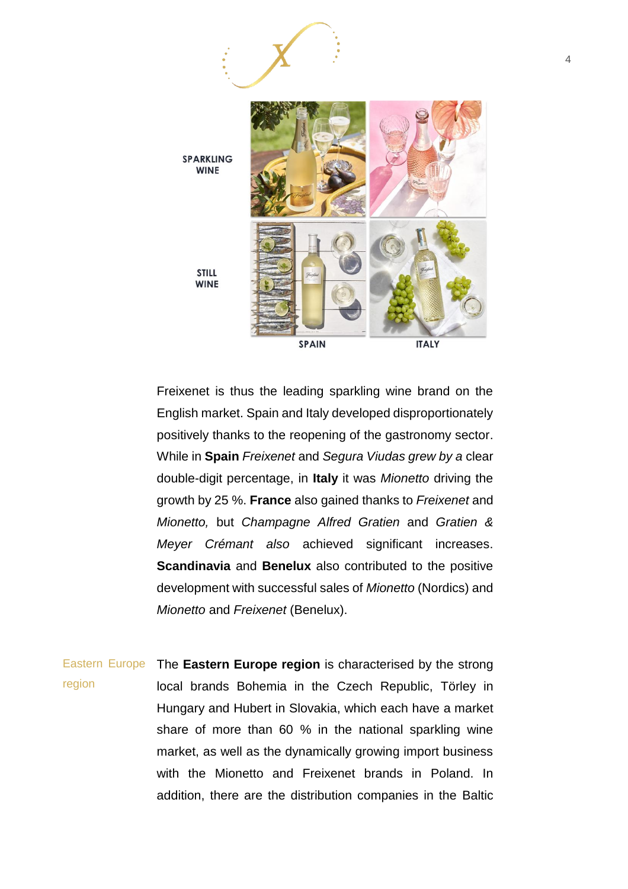

Freixenet is thus the leading sparkling wine brand on the English market. Spain and Italy developed disproportionately positively thanks to the reopening of the gastronomy sector. While in **Spain** *Freixenet* and *Segura Viudas grew by a* clear double-digit percentage, in **Italy** it was *Mionetto* driving the growth by 25 %. **France** also gained thanks to *Freixenet* and *Mionetto,* but *Champagne Alfred Gratien* and *Gratien & Meyer Crémant also* achieved significant increases. **Scandinavia** and **Benelux** also contributed to the positive development with successful sales of *Mionetto* (Nordics) and *Mionetto* and *Freixenet* (Benelux).

Eastern Europe The **Eastern Europe region** is characterised by the strong region local brands Bohemia in the Czech Republic, Törley in Hungary and Hubert in Slovakia, which each have a market share of more than 60 % in the national sparkling wine market, as well as the dynamically growing import business with the Mionetto and Freixenet brands in Poland. In addition, there are the distribution companies in the Baltic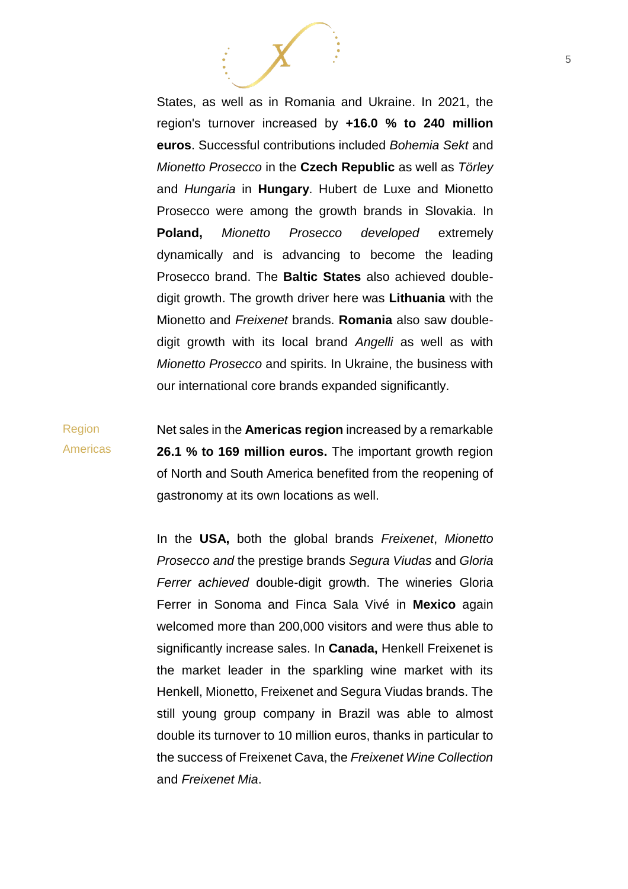States, as well as in Romania and Ukraine. In 2021, the region's turnover increased by **+16.0 % to 240 million euros**. Successful contributions included *Bohemia Sekt* and *Mionetto Prosecco* in the **Czech Republic** as well as *Törley*  and *Hungaria* in **Hungary**. Hubert de Luxe and Mionetto Prosecco were among the growth brands in Slovakia. In **Poland,** *Mionetto Prosecco developed* extremely dynamically and is advancing to become the leading Prosecco brand. The **Baltic States** also achieved doubledigit growth. The growth driver here was **Lithuania** with the Mionetto and *Freixenet* brands. **Romania** also saw doubledigit growth with its local brand *Angelli* as well as with *Mionetto Prosecco* and spirits. In Ukraine, the business with our international core brands expanded significantly.

Region Americas Net sales in the **Americas region** increased by a remarkable **26.1 % to 169 million euros.** The important growth region of North and South America benefited from the reopening of gastronomy at its own locations as well.

> In the **USA,** both the global brands *Freixenet*, *Mionetto Prosecco and* the prestige brands *Segura Viudas* and *Gloria Ferrer achieved* double-digit growth. The wineries Gloria Ferrer in Sonoma and Finca Sala Vivé in **Mexico** again welcomed more than 200,000 visitors and were thus able to significantly increase sales. In **Canada,** Henkell Freixenet is the market leader in the sparkling wine market with its Henkell, Mionetto, Freixenet and Segura Viudas brands. The still young group company in Brazil was able to almost double its turnover to 10 million euros, thanks in particular to the success of Freixenet Cava, the *Freixenet Wine Collection*  and *Freixenet Mia*.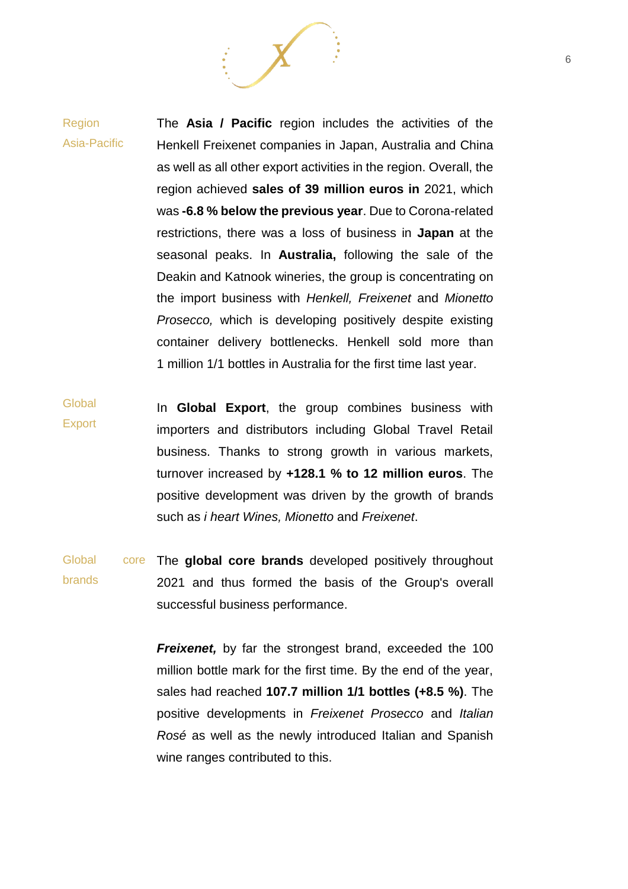## Region Asia-Pacific The **Asia / Pacific** region includes the activities of the Henkell Freixenet companies in Japan, Australia and China as well as all other export activities in the region. Overall, the region achieved **sales of 39 million euros in** 2021, which was **-6.8 % below the previous year**. Due to Corona-related restrictions, there was a loss of business in **Japan** at the seasonal peaks. In **Australia,** following the sale of the Deakin and Katnook wineries, the group is concentrating on the import business with *Henkell, Freixenet* and *Mionetto Prosecco,* which is developing positively despite existing container delivery bottlenecks. Henkell sold more than 1 million 1/1 bottles in Australia for the first time last year.

**Global Export** In **Global Export**, the group combines business with importers and distributors including Global Travel Retail business. Thanks to strong growth in various markets, turnover increased by **+128.1 % to 12 million euros**. The positive development was driven by the growth of brands such as *i heart Wines, Mionetto* and *Freixenet*.

Global brands The **global core brands** developed positively throughout 2021 and thus formed the basis of the Group's overall successful business performance.

> *Freixenet, by far the strongest brand, exceeded the 100* million bottle mark for the first time. By the end of the year, sales had reached **107.7 million 1/1 bottles (+8.5 %)**. The positive developments in *Freixenet Prosecco* and *Italian Rosé* as well as the newly introduced Italian and Spanish wine ranges contributed to this.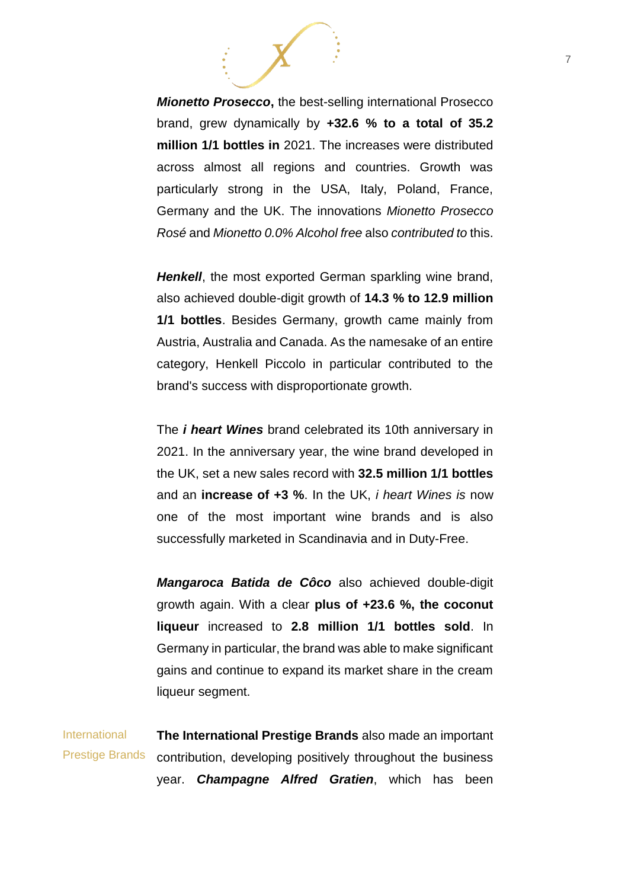*Mionetto Prosecco***,** the best-selling international Prosecco brand, grew dynamically by **+32.6 % to a total of 35.2 million 1/1 bottles in** 2021. The increases were distributed across almost all regions and countries. Growth was particularly strong in the USA, Italy, Poland, France, Germany and the UK. The innovations *Mionetto Prosecco Rosé* and *Mionetto 0.0% Alcohol free* also *contributed to* this.

*Henkell*, the most exported German sparkling wine brand, also achieved double-digit growth of **14.3 % to 12.9 million 1/1 bottles**. Besides Germany, growth came mainly from Austria, Australia and Canada. As the namesake of an entire category, Henkell Piccolo in particular contributed to the brand's success with disproportionate growth.

The *i heart Wines* brand celebrated its 10th anniversary in 2021. In the anniversary year, the wine brand developed in the UK, set a new sales record with **32.5 million 1/1 bottles** and an **increase of +3 %**. In the UK, *i heart Wines is* now one of the most important wine brands and is also successfully marketed in Scandinavia and in Duty-Free.

*Mangaroca Batida de Côco* also achieved double-digit growth again. With a clear **plus of +23.6 %, the coconut liqueur** increased to **2.8 million 1/1 bottles sold**. In Germany in particular, the brand was able to make significant gains and continue to expand its market share in the cream liqueur segment.

**International** Prestige Brands **The International Prestige Brands** also made an important contribution, developing positively throughout the business year. *Champagne Alfred Gratien*, which has been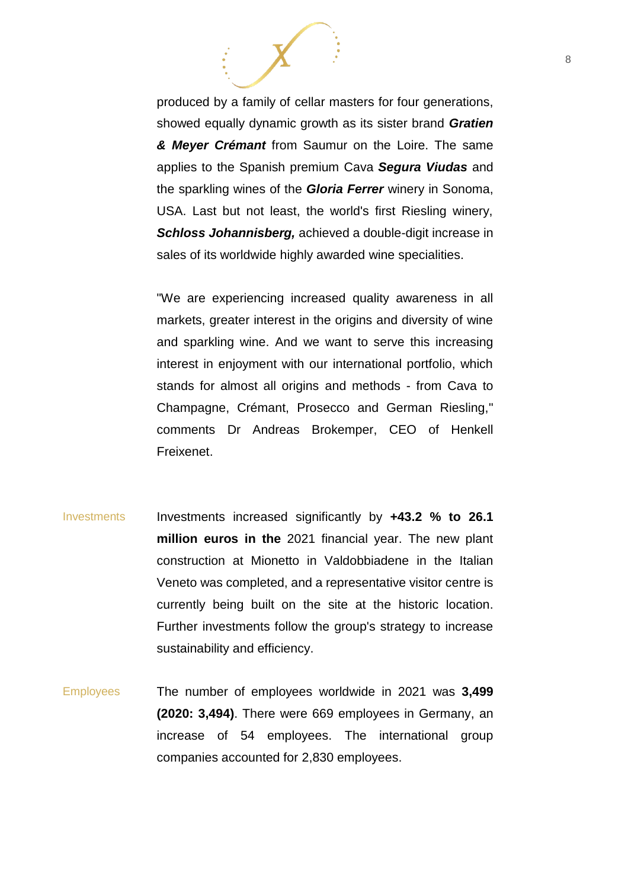produced by a family of cellar masters for four generations, showed equally dynamic growth as its sister brand *Gratien & Meyer Crémant* from Saumur on the Loire. The same applies to the Spanish premium Cava *Segura Viudas* and the sparkling wines of the *Gloria Ferrer* winery in Sonoma, USA. Last but not least, the world's first Riesling winery, *Schloss Johannisberg,* achieved a double-digit increase in sales of its worldwide highly awarded wine specialities.

"We are experiencing increased quality awareness in all markets, greater interest in the origins and diversity of wine and sparkling wine. And we want to serve this increasing interest in enjoyment with our international portfolio, which stands for almost all origins and methods - from Cava to Champagne, Crémant, Prosecco and German Riesling," comments Dr Andreas Brokemper, CEO of Henkell Freixenet.

- Investments Investments increased significantly by **+43.2 % to 26.1 million euros in the** 2021 financial year. The new plant construction at Mionetto in Valdobbiadene in the Italian Veneto was completed, and a representative visitor centre is currently being built on the site at the historic location. Further investments follow the group's strategy to increase sustainability and efficiency.
- Employees The number of employees worldwide in 2021 was **3,499 (2020: 3,494)**. There were 669 employees in Germany, an increase of 54 employees. The international group companies accounted for 2,830 employees.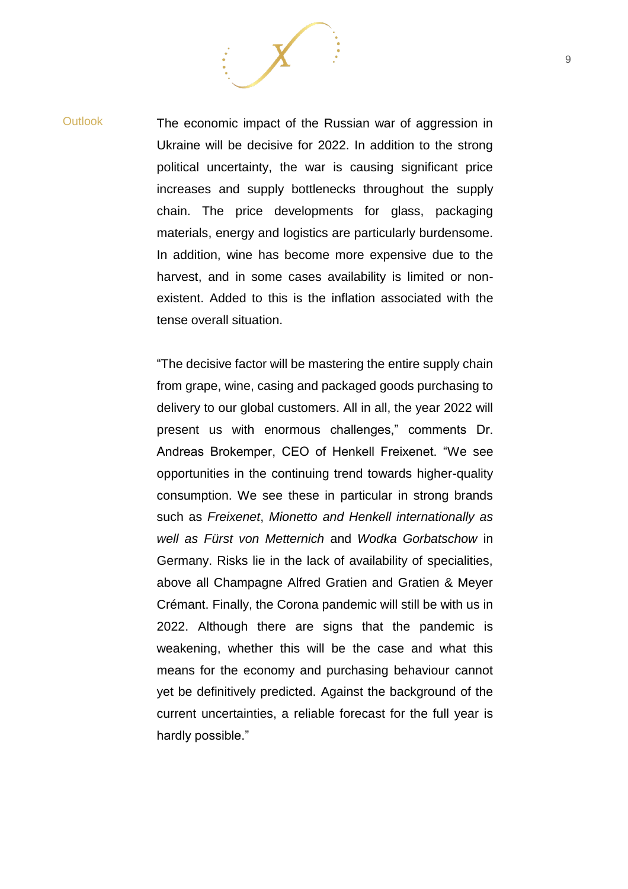Outlook The economic impact of the Russian war of aggression in Ukraine will be decisive for 2022. In addition to the strong political uncertainty, the war is causing significant price increases and supply bottlenecks throughout the supply chain. The price developments for glass, packaging materials, energy and logistics are particularly burdensome. In addition, wine has become more expensive due to the harvest, and in some cases availability is limited or nonexistent. Added to this is the inflation associated with the tense overall situation.

> "The decisive factor will be mastering the entire supply chain from grape, wine, casing and packaged goods purchasing to delivery to our global customers. All in all, the year 2022 will present us with enormous challenges," comments Dr. Andreas Brokemper, CEO of Henkell Freixenet. "We see opportunities in the continuing trend towards higher-quality consumption. We see these in particular in strong brands such as *Freixenet*, *Mionetto and Henkell internationally as well as Fürst von Metternich* and *Wodka Gorbatschow* in Germany. Risks lie in the lack of availability of specialities, above all Champagne Alfred Gratien and Gratien & Meyer Crémant. Finally, the Corona pandemic will still be with us in 2022. Although there are signs that the pandemic is weakening, whether this will be the case and what this means for the economy and purchasing behaviour cannot yet be definitively predicted. Against the background of the current uncertainties, a reliable forecast for the full year is hardly possible."